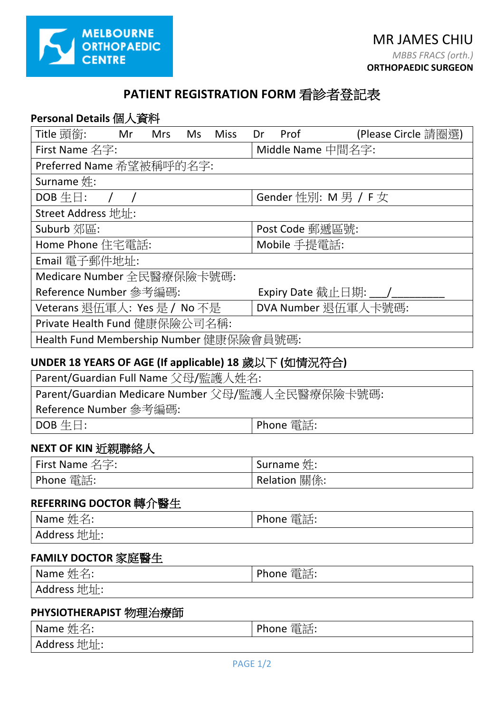

# **PATIENT REGISTRATION FORM 看診者登記表**

| Personal Details 個人資料                   |           |     |    |      |                 |                             |                         |  |
|-----------------------------------------|-----------|-----|----|------|-----------------|-----------------------------|-------------------------|--|
| Title 頭銜:                               | <b>Mr</b> | Mrs | Ms | Miss | Dr              | Prof                        | (Please Circle 請圈選)     |  |
| First Name 名字:                          |           |     |    |      |                 |                             | Middle Name 中間名字:       |  |
| Preferred Name 希望被稱呼的名字:                |           |     |    |      |                 |                             |                         |  |
| Surname $#$ :                           |           |     |    |      |                 |                             |                         |  |
| DOB $#E$ :                              |           |     |    |      |                 | Gender 性別: $M \ncong / F$ 女 |                         |  |
| Street Address 地址:                      |           |     |    |      |                 |                             |                         |  |
| Suburb 郊區:                              |           |     |    |      | Post Code 郵遞區號: |                             |                         |  |
| Home Phone 住宅電話:                        |           |     |    |      | Mobile 手提電話:    |                             |                         |  |
| Email 電子郵件地址:                           |           |     |    |      |                 |                             |                         |  |
| Medicare Number 全民醫療保險卡號碼:              |           |     |    |      |                 |                             |                         |  |
| Reference Number 參考編碼:                  |           |     |    |      |                 |                             | Expiry Date 截止日期: ___/_ |  |
| Veterans 退伍軍人: Yes 是 / No 不是            |           |     |    |      |                 | DVA Number 退伍軍人卡號碼:         |                         |  |
| Private Health Fund 健康保險公司名稱:           |           |     |    |      |                 |                             |                         |  |
| Health Fund Membership Number 健康保險會員號碼: |           |     |    |      |                 |                             |                         |  |
|                                         |           |     |    |      |                 |                             |                         |  |

### **UNDER 18 YEARS OF AGE (If applicable) 18** 歲以下 **(**如情況符合**)**

| Parent/Guardian Full Name 父母/監護人姓名:              |                   |  |  |  |
|--------------------------------------------------|-------------------|--|--|--|
| Parent/Guardian Medicare Number 父母/監護人全民醫療保險卡號碼: |                   |  |  |  |
| Reference Number 參考編碼:                           |                   |  |  |  |
| $\vert$ DOB $\pm \boxdot$ :                      | <b>∣Phone</b> 電話: |  |  |  |

#### **NEXT OF KIN 近親聯絡人**

| First Name 名字: | Surname $#$ : |
|----------------|---------------|
| 電話:<br>Phone   | Relation 關係:  |

# **REFERRING DOCTOR** 轉介醫生

| Name $\nleq \nleq$ : | 電話:<br>Phone |
|----------------------|--------------|
| Address 地址:          |              |

### **FAMILY DOCTOR** 家庭醫生

| $\blacksquare$ Name 姓名: | 電話:<br>Phone |
|-------------------------|--------------|
| Address 地址:             |              |

#### **PHYSIOTHERAPIST** 物理治療師

| 姓名:         | 電話:   |
|-------------|-------|
| Name        | Phone |
| Address 地址: |       |